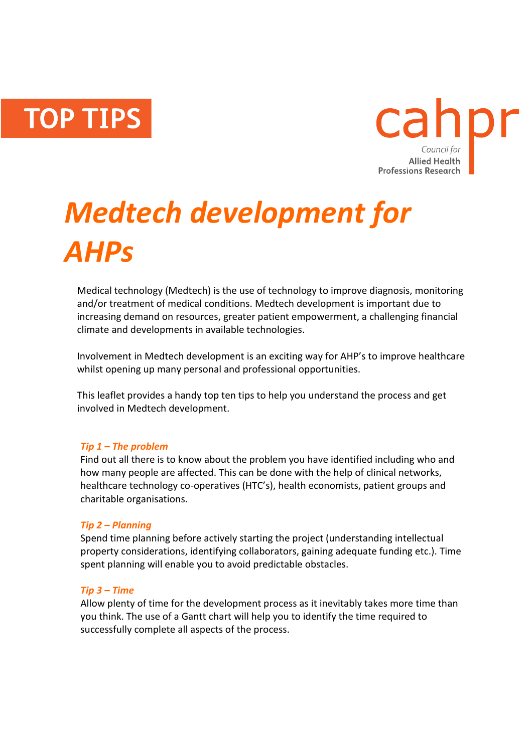**TOP TIPS** 



# *Medtech development for AHPs*

Medical technology (Medtech) is the use of technology to improve diagnosis, monitoring and/or treatment of medical conditions. Medtech development is important due to increasing demand on resources, greater patient empowerment, a challenging financial climate and developments in available technologies.

Involvement in Medtech development is an exciting way for AHP's to improve healthcare whilst opening up many personal and professional opportunities.

This leaflet provides a handy top ten tips to help you understand the process and get involved in Medtech development.

## *Tip 1 – The problem*

Find out all there is to know about the problem you have identified including who and how many people are affected. This can be done with the help of clinical networks, healthcare technology co-operatives (HTC's), health economists, patient groups and charitable organisations.

## *Tip 2 – Planning*

Spend time planning before actively starting the project (understanding intellectual property considerations, identifying collaborators, gaining adequate funding etc.). Time spent planning will enable you to avoid predictable obstacles.

## *Tip 3 – Time*

Allow plenty of time for the development process as it inevitably takes more time than you think. The use of a Gantt chart will help you to identify the time required to successfully complete all aspects of the process.